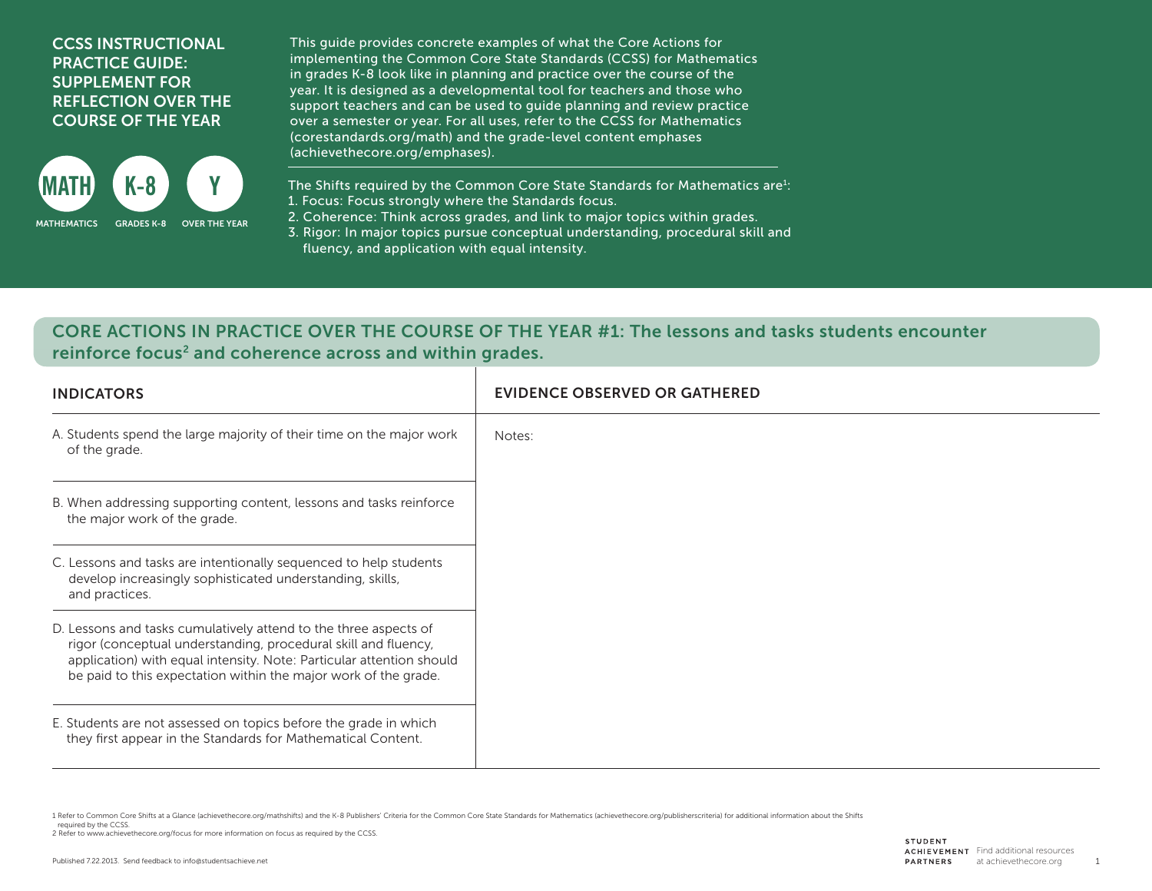## CCSS INSTRUCTIONAL PRACTICE GUIDE: SUPPLEMENT FOR REFLECTION OVER THE COURSE OF THE YEAR



This guide provides concrete examples of what the Core Actions for implementing the Common Core State Standards (CCSS) for Mathematics in grades K-8 look like in planning and practice over the course of the year. It is designed as a developmental tool for teachers and those who support teachers and can be used to guide planning and review practice over a semester or year. For all uses, refer to the CCSS for Mathematics (corestandards.org/math) and the grade-level content emphases (achievethecore.org/emphases).

The Shifts required by the Common Core State Standards for Mathematics are $i$ : 1. Focus: Focus strongly where the Standards focus.

2. Coherence: Think across grades, and link to major topics within grades.

3. Rigor: In major topics pursue conceptual understanding, procedural skill and fluency, and application with equal intensity.

## CORE ACTIONS IN PRACTICE OVER THE COURSE OF THE YEAR #1: The lessons and tasks students encounter reinforce focus<sup>2</sup> and coherence across and within grades.

| <b>INDICATORS</b>                                                                                                                                                                                                                                                             | <b>EVIDENCE OBSERVED OR GATHERED</b> |
|-------------------------------------------------------------------------------------------------------------------------------------------------------------------------------------------------------------------------------------------------------------------------------|--------------------------------------|
| A. Students spend the large majority of their time on the major work<br>of the grade.                                                                                                                                                                                         | Notes:                               |
| B. When addressing supporting content, lessons and tasks reinforce<br>the major work of the grade.                                                                                                                                                                            |                                      |
| C. Lessons and tasks are intentionally sequenced to help students<br>develop increasingly sophisticated understanding, skills,<br>and practices.                                                                                                                              |                                      |
| D. Lessons and tasks cumulatively attend to the three aspects of<br>rigor (conceptual understanding, procedural skill and fluency,<br>application) with equal intensity. Note: Particular attention should<br>be paid to this expectation within the major work of the grade. |                                      |
| E. Students are not assessed on topics before the grade in which<br>they first appear in the Standards for Mathematical Content.                                                                                                                                              |                                      |

1 Refer to Common Core Shifts at a Glance (achievethecore.org/mathshifts) and the K-8 Publishers' Criteria for the Common Core State Standards for Mathematics (achievethecore.org/publisherscriteria) for additional informat

required by the CCSS.

2 Refer to www.achievethecore.org/focus for more information on focus as required by the CCSS.